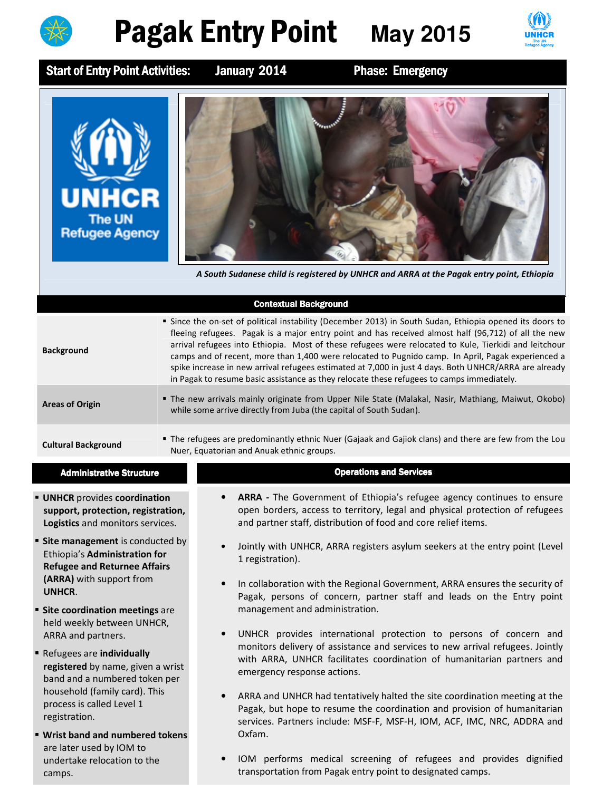

## **Pagak Entry Point** May 2015



Start of Entry Point Activities: January 2014 Phase: Emergency



A South Sudanese child is registered by UNHCR and ARRA at the Pagak entry point, Ethiopia

|                            | <b>Contextual Background</b>                                                                                                                                                                                                                                                                                                                                                                                                                                                                                                                                                                                                       |
|----------------------------|------------------------------------------------------------------------------------------------------------------------------------------------------------------------------------------------------------------------------------------------------------------------------------------------------------------------------------------------------------------------------------------------------------------------------------------------------------------------------------------------------------------------------------------------------------------------------------------------------------------------------------|
| <b>Background</b>          | Since the on-set of political instability (December 2013) in South Sudan, Ethiopia opened its doors to<br>fleeing refugees. Pagak is a major entry point and has received almost half (96,712) of all the new<br>arrival refugees into Ethiopia. Most of these refugees were relocated to Kule, Tierkidi and leitchour<br>camps and of recent, more than 1,400 were relocated to Pugnido camp. In April, Pagak experienced a<br>spike increase in new arrival refugees estimated at 7,000 in just 4 days. Both UNHCR/ARRA are already<br>in Pagak to resume basic assistance as they relocate these refugees to camps immediately. |
| <b>Areas of Origin</b>     | ■ The new arrivals mainly originate from Upper Nile State (Malakal, Nasir, Mathiang, Maiwut, Okobo)<br>while some arrive directly from Juba (the capital of South Sudan).                                                                                                                                                                                                                                                                                                                                                                                                                                                          |
| <b>Cultural Background</b> | • The refugees are predominantly ethnic Nuer (Gajaak and Gajiok clans) and there are few from the Lou<br>Nuer, Equatorian and Anuak ethnic groups.                                                                                                                                                                                                                                                                                                                                                                                                                                                                                 |
|                            |                                                                                                                                                                                                                                                                                                                                                                                                                                                                                                                                                                                                                                    |

- **UNHCR** provides coordination support, protection, registration, Logistics and monitors services.
- **Site management** is conducted by Ethiopia's Administration for Refugee and Returnee Affairs (ARRA) with support from UNHCR.
- **Site coordination meetings are** held weekly between UNHCR, ARRA and partners.
- Refugees are individually registered by name, given a wrist band and a numbered token per household (family card). This process is called Level 1 registration.
- Wrist band and numbered tokens are later used by IOM to undertake relocation to the camps.

## Administrative Structure **Administrative Structure** Administrative Structure **Constructions** and Services

- ARRA The Government of Ethiopia's refugee agency continues to ensure open borders, access to territory, legal and physical protection of refugees and partner staff, distribution of food and core relief items.
- Jointly with UNHCR, ARRA registers asylum seekers at the entry point (Level 1 registration).
- In collaboration with the Regional Government, ARRA ensures the security of Pagak, persons of concern, partner staff and leads on the Entry point management and administration.
- UNHCR provides international protection to persons of concern and monitors delivery of assistance and services to new arrival refugees. Jointly with ARRA, UNHCR facilitates coordination of humanitarian partners and emergency response actions.
- ARRA and UNHCR had tentatively halted the site coordination meeting at the Pagak, but hope to resume the coordination and provision of humanitarian services. Partners include: MSF-F, MSF-H, IOM, ACF, IMC, NRC, ADDRA and Oxfam.
- IOM performs medical screening of refugees and provides dignified transportation from Pagak entry point to designated camps.